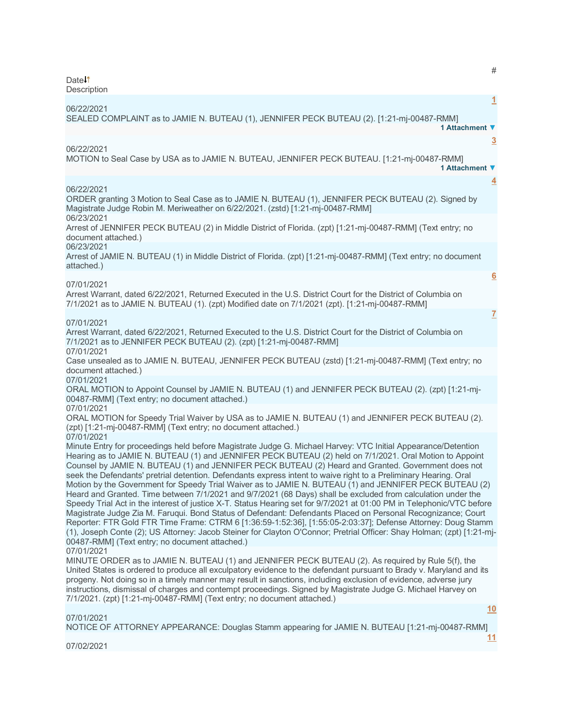Date<sup>1</sup>

| Description                                                                                                                                                                                                                                                                                                                                                                                                                                                                                                                                                                                                                                                                                                                                                                                                                                                                                                                                                                                                                                                                                                                                                                                                                                    |          |
|------------------------------------------------------------------------------------------------------------------------------------------------------------------------------------------------------------------------------------------------------------------------------------------------------------------------------------------------------------------------------------------------------------------------------------------------------------------------------------------------------------------------------------------------------------------------------------------------------------------------------------------------------------------------------------------------------------------------------------------------------------------------------------------------------------------------------------------------------------------------------------------------------------------------------------------------------------------------------------------------------------------------------------------------------------------------------------------------------------------------------------------------------------------------------------------------------------------------------------------------|----------|
| 06/22/2021<br>SEALED COMPLAINT as to JAMIE N. BUTEAU (1), JENNIFER PECK BUTEAU (2). [1:21-mj-00487-RMM]<br>1 Attachment ▼                                                                                                                                                                                                                                                                                                                                                                                                                                                                                                                                                                                                                                                                                                                                                                                                                                                                                                                                                                                                                                                                                                                      | 1        |
| 06/22/2021<br>MOTION to Seal Case by USA as to JAMIE N. BUTEAU, JENNIFER PECK BUTEAU. [1:21-mj-00487-RMM]<br>1 Attachment ▼                                                                                                                                                                                                                                                                                                                                                                                                                                                                                                                                                                                                                                                                                                                                                                                                                                                                                                                                                                                                                                                                                                                    | <u>3</u> |
| 06/22/2021<br>ORDER granting 3 Motion to Seal Case as to JAMIE N. BUTEAU (1), JENNIFER PECK BUTEAU (2). Signed by<br>Magistrate Judge Robin M. Meriweather on 6/22/2021. (zstd) [1:21-mj-00487-RMM]                                                                                                                                                                                                                                                                                                                                                                                                                                                                                                                                                                                                                                                                                                                                                                                                                                                                                                                                                                                                                                            | 4        |
| 06/23/2021<br>Arrest of JENNIFER PECK BUTEAU (2) in Middle District of Florida. (zpt) [1:21-mj-00487-RMM] (Text entry; no<br>document attached.)                                                                                                                                                                                                                                                                                                                                                                                                                                                                                                                                                                                                                                                                                                                                                                                                                                                                                                                                                                                                                                                                                               |          |
| 06/23/2021<br>Arrest of JAMIE N. BUTEAU (1) in Middle District of Florida. (zpt) [1:21-mj-00487-RMM] (Text entry; no document<br>attached.)                                                                                                                                                                                                                                                                                                                                                                                                                                                                                                                                                                                                                                                                                                                                                                                                                                                                                                                                                                                                                                                                                                    |          |
| $\overline{6}$<br>07/01/2021<br>Arrest Warrant, dated 6/22/2021, Returned Executed in the U.S. District Court for the District of Columbia on<br>7/1/2021 as to JAMIE N. BUTEAU (1). (zpt) Modified date on 7/1/2021 (zpt). [1:21-mj-00487-RMM]                                                                                                                                                                                                                                                                                                                                                                                                                                                                                                                                                                                                                                                                                                                                                                                                                                                                                                                                                                                                |          |
| $\overline{I}$                                                                                                                                                                                                                                                                                                                                                                                                                                                                                                                                                                                                                                                                                                                                                                                                                                                                                                                                                                                                                                                                                                                                                                                                                                 |          |
| 07/01/2021<br>Arrest Warrant, dated 6/22/2021, Returned Executed to the U.S. District Court for the District of Columbia on<br>7/1/2021 as to JENNIFER PECK BUTEAU (2). (zpt) [1:21-mj-00487-RMM]                                                                                                                                                                                                                                                                                                                                                                                                                                                                                                                                                                                                                                                                                                                                                                                                                                                                                                                                                                                                                                              |          |
| 07/01/2021<br>Case unsealed as to JAMIE N. BUTEAU, JENNIFER PECK BUTEAU (zstd) [1:21-mj-00487-RMM] (Text entry; no<br>document attached.)                                                                                                                                                                                                                                                                                                                                                                                                                                                                                                                                                                                                                                                                                                                                                                                                                                                                                                                                                                                                                                                                                                      |          |
| 07/01/2021<br>ORAL MOTION to Appoint Counsel by JAMIE N. BUTEAU (1) and JENNIFER PECK BUTEAU (2). (zpt) [1:21-mj-<br>00487-RMM] (Text entry; no document attached.)                                                                                                                                                                                                                                                                                                                                                                                                                                                                                                                                                                                                                                                                                                                                                                                                                                                                                                                                                                                                                                                                            |          |
| 07/01/2021<br>ORAL MOTION for Speedy Trial Waiver by USA as to JAMIE N. BUTEAU (1) and JENNIFER PECK BUTEAU (2).<br>(zpt) [1:21-mj-00487-RMM] (Text entry; no document attached.)                                                                                                                                                                                                                                                                                                                                                                                                                                                                                                                                                                                                                                                                                                                                                                                                                                                                                                                                                                                                                                                              |          |
| 07/01/2021<br>Minute Entry for proceedings held before Magistrate Judge G. Michael Harvey: VTC Initial Appearance/Detention<br>Hearing as to JAMIE N. BUTEAU (1) and JENNIFER PECK BUTEAU (2) held on 7/1/2021. Oral Motion to Appoint<br>Counsel by JAMIE N. BUTEAU (1) and JENNIFER PECK BUTEAU (2) Heard and Granted. Government does not<br>seek the Defendants' pretrial detention. Defendants express intent to waive right to a Preliminary Hearing. Oral<br>Motion by the Government for Speedy Trial Waiver as to JAMIE N. BUTEAU (1) and JENNIFER PECK BUTEAU (2)<br>Heard and Granted. Time between 7/1/2021 and 9/7/2021 (68 Days) shall be excluded from calculation under the<br>Speedy Trial Act in the interest of justice X-T. Status Hearing set for 9/7/2021 at 01:00 PM in Telephonic/VTC before<br>Magistrate Judge Zia M. Faruqui. Bond Status of Defendant: Defendants Placed on Personal Recognizance; Court<br>Reporter: FTR Gold FTR Time Frame: CTRM 6 [1:36:59-1:52:36], [1:55:05-2:03:37]; Defense Attorney: Doug Stamm<br>(1), Joseph Conte (2); US Attorney: Jacob Steiner for Clayton O'Connor; Pretrial Officer: Shay Holman; (zpt) [1:21-mj-<br>00487-RMM] (Text entry; no document attached.)<br>07/01/2021 |          |
| MINUTE ORDER as to JAMIE N. BUTEAU (1) and JENNIFER PECK BUTEAU (2). As required by Rule 5(f), the<br>United States is ordered to produce all exculpatory evidence to the defendant pursuant to Brady v. Maryland and its<br>progeny. Not doing so in a timely manner may result in sanctions, including exclusion of evidence, adverse jury<br>instructions, dismissal of charges and contempt proceedings. Signed by Magistrate Judge G. Michael Harvey on<br>7/1/2021. (zpt) [1:21-mj-00487-RMM] (Text entry; no document attached.)                                                                                                                                                                                                                                                                                                                                                                                                                                                                                                                                                                                                                                                                                                        |          |

# 07/01/2021

NOTICE OF ATTORNEY APPEARANCE: Douglas Stamm appearing for JAMIE N. BUTEAU [1:21-mj-00487-RMM]

07/02/2021

**[11](javascript:void(0))**

**[10](javascript:void(0))**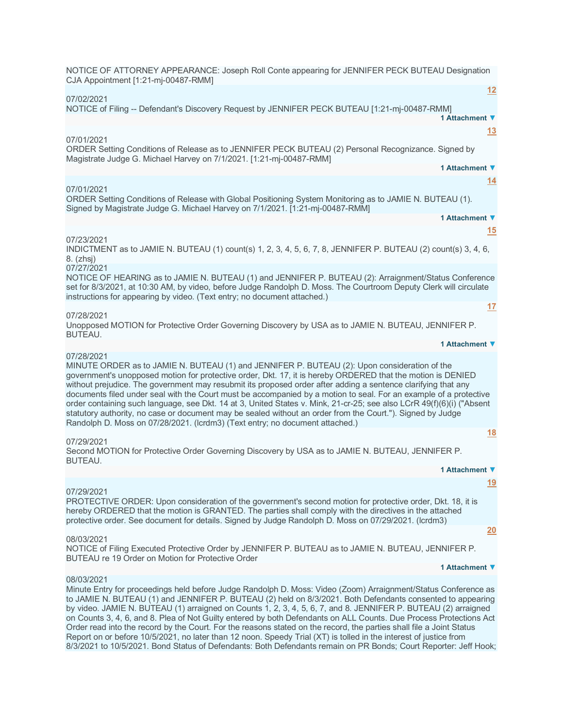| NOTICE OF ATTORNEY APPEARANCE: Joseph Roll Conte appearing for JENNIFER PECK BUTEAU Designation<br>CJA Appointment [1:21-mj-00487-RMM]                                                                                                                                                                                                                                                                                                                                                                                                                                                                                                                                                                                                                                                 |
|----------------------------------------------------------------------------------------------------------------------------------------------------------------------------------------------------------------------------------------------------------------------------------------------------------------------------------------------------------------------------------------------------------------------------------------------------------------------------------------------------------------------------------------------------------------------------------------------------------------------------------------------------------------------------------------------------------------------------------------------------------------------------------------|
| 12                                                                                                                                                                                                                                                                                                                                                                                                                                                                                                                                                                                                                                                                                                                                                                                     |
| 07/02/2021<br>NOTICE of Filing -- Defendant's Discovery Request by JENNIFER PECK BUTEAU [1:21-mj-00487-RMM]<br>1 Attachment ▼                                                                                                                                                                                                                                                                                                                                                                                                                                                                                                                                                                                                                                                          |
| 13<br>07/01/2021<br>ORDER Setting Conditions of Release as to JENNIFER PECK BUTEAU (2) Personal Recognizance. Signed by                                                                                                                                                                                                                                                                                                                                                                                                                                                                                                                                                                                                                                                                |
| Magistrate Judge G. Michael Harvey on 7/1/2021. [1:21-mj-00487-RMM]                                                                                                                                                                                                                                                                                                                                                                                                                                                                                                                                                                                                                                                                                                                    |
| 1 Attachment ▼                                                                                                                                                                                                                                                                                                                                                                                                                                                                                                                                                                                                                                                                                                                                                                         |
| 14<br>07/01/2021                                                                                                                                                                                                                                                                                                                                                                                                                                                                                                                                                                                                                                                                                                                                                                       |
| ORDER Setting Conditions of Release with Global Positioning System Monitoring as to JAMIE N. BUTEAU (1).<br>Signed by Magistrate Judge G. Michael Harvey on 7/1/2021. [1:21-mj-00487-RMM]                                                                                                                                                                                                                                                                                                                                                                                                                                                                                                                                                                                              |
| 1 Attachment ▼                                                                                                                                                                                                                                                                                                                                                                                                                                                                                                                                                                                                                                                                                                                                                                         |
| 15<br>07/23/2021                                                                                                                                                                                                                                                                                                                                                                                                                                                                                                                                                                                                                                                                                                                                                                       |
| INDICTMENT as to JAMIE N. BUTEAU (1) count(s) 1, 2, 3, 4, 5, 6, 7, 8, JENNIFER P. BUTEAU (2) count(s) 3, 4, 6,<br>8. (zhsj)                                                                                                                                                                                                                                                                                                                                                                                                                                                                                                                                                                                                                                                            |
| 07/27/2021<br>NOTICE OF HEARING as to JAMIE N. BUTEAU (1) and JENNIFER P. BUTEAU (2): Arraignment/Status Conference<br>set for 8/3/2021, at 10:30 AM, by video, before Judge Randolph D. Moss. The Courtroom Deputy Clerk will circulate<br>instructions for appearing by video. (Text entry; no document attached.)                                                                                                                                                                                                                                                                                                                                                                                                                                                                   |
| 17<br>07/28/2021                                                                                                                                                                                                                                                                                                                                                                                                                                                                                                                                                                                                                                                                                                                                                                       |
| Unopposed MOTION for Protective Order Governing Discovery by USA as to JAMIE N. BUTEAU, JENNIFER P.<br>BUTEAU.                                                                                                                                                                                                                                                                                                                                                                                                                                                                                                                                                                                                                                                                         |
| 1 Attachment ▼                                                                                                                                                                                                                                                                                                                                                                                                                                                                                                                                                                                                                                                                                                                                                                         |
| 07/28/2021<br>MINUTE ORDER as to JAMIE N. BUTEAU (1) and JENNIFER P. BUTEAU (2): Upon consideration of the<br>government's unopposed motion for protective order, Dkt. 17, it is hereby ORDERED that the motion is DENIED<br>without prejudice. The government may resubmit its proposed order after adding a sentence clarifying that any<br>documents filed under seal with the Court must be accompanied by a motion to seal. For an example of a protective<br>order containing such language, see Dkt. 14 at 3, United States v. Mink, 21-cr-25; see also LCrR 49(f)(6)(i) ("Absent<br>statutory authority, no case or document may be sealed without an order from the Court."). Signed by Judge<br>Randolph D. Moss on 07/28/2021. (Icrdm3) (Text entry; no document attached.) |
| <u>18</u>                                                                                                                                                                                                                                                                                                                                                                                                                                                                                                                                                                                                                                                                                                                                                                              |
| 07/29/2021<br>Second MOTION for Protective Order Governing Discovery by USA as to JAMIE N. BUTEAU, JENNIFER P.<br>BUTEAU.                                                                                                                                                                                                                                                                                                                                                                                                                                                                                                                                                                                                                                                              |
| 1 Attachment ▼                                                                                                                                                                                                                                                                                                                                                                                                                                                                                                                                                                                                                                                                                                                                                                         |
| <u>19</u>                                                                                                                                                                                                                                                                                                                                                                                                                                                                                                                                                                                                                                                                                                                                                                              |
| 07/29/2021<br>PROTECTIVE ORDER: Upon consideration of the government's second motion for protective order, Dkt. 18, it is<br>hereby ORDERED that the motion is GRANTED. The parties shall comply with the directives in the attached<br>protective order. See document for details. Signed by Judge Randolph D. Moss on 07/29/2021. (Icrdm3)                                                                                                                                                                                                                                                                                                                                                                                                                                           |
| 20<br>08/03/2021                                                                                                                                                                                                                                                                                                                                                                                                                                                                                                                                                                                                                                                                                                                                                                       |
| NOTICE of Filing Executed Protective Order by JENNIFER P. BUTEAU as to JAMIE N. BUTEAU, JENNIFER P.<br>BUTEAU re 19 Order on Motion for Protective Order                                                                                                                                                                                                                                                                                                                                                                                                                                                                                                                                                                                                                               |
| 1 Attachment ▼                                                                                                                                                                                                                                                                                                                                                                                                                                                                                                                                                                                                                                                                                                                                                                         |
| 08/03/2021<br>Minute Entry for proceedings held before Judge Randolph D. Moss: Video (Zoom) Arraignment/Status Conference as<br>to JAMIE N. BUTEAU (1) and JENNIFER P. BUTEAU (2) held on 8/3/2021. Both Defendants consented to appearing                                                                                                                                                                                                                                                                                                                                                                                                                                                                                                                                             |

by video. JAMIE N. BUTEAU (1) arraigned on Counts 1, 2, 3, 4, 5, 6, 7, and 8. JENNIFER P. BUTEAU (2) arraigned on Counts 3, 4, 6, and 8. Plea of Not Guilty entered by both Defendants on ALL Counts. Due Process Protections Act Order read into the record by the Court. For the reasons stated on the record, the parties shall file a Joint Status Report on or before 10/5/2021, no later than 12 noon. Speedy Trial (XT) is tolled in the interest of justice from 8/3/2021 to 10/5/2021. Bond Status of Defendants: Both Defendants remain on PR Bonds; Court Reporter: Jeff Hook;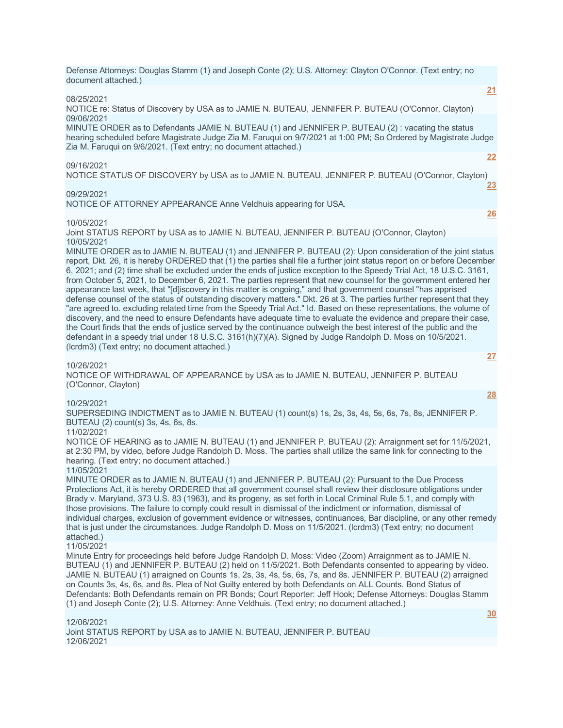Defense Attorneys: Douglas Stamm (1) and Joseph Conte (2); U.S. Attorney: Clayton O'Connor. (Text entry; no document attached.)

#### 08/25/2021

NOTICE re: Status of Discovery by USA as to JAMIE N. BUTEAU, JENNIFER P. BUTEAU (O'Connor, Clayton) 09/06/2021

MINUTE ORDER as to Defendants JAMIE N. BUTEAU (1) and JENNIFER P. BUTEAU (2) : vacating the status hearing scheduled before Magistrate Judge Zia M. Faruqui on 9/7/2021 at 1:00 PM; So Ordered by Magistrate Judge Zia M. Faruqui on 9/6/2021. (Text entry; no document attached.)

#### 09/16/2021

**[22](javascript:void(0))**

**[26](javascript:void(0))**

**[27](javascript:void(0))**

**[28](javascript:void(0))**

**[21](javascript:void(0))**

NOTICE STATUS OF DISCOVERY by USA as to JAMIE N. BUTEAU, JENNIFER P. BUTEAU (O'Connor, Clayton) **[23](javascript:void(0))**

## 09/29/2021

NOTICE OF ATTORNEY APPEARANCE Anne Veldhuis appearing for USA.

## 10/05/2021

Joint STATUS REPORT by USA as to JAMIE N. BUTEAU, JENNIFER P. BUTEAU (O'Connor, Clayton) 10/05/2021

MINUTE ORDER as to JAMIE N. BUTEAU (1) and JENNIFER P. BUTEAU (2): Upon consideration of the joint status report, Dkt. 26, it is hereby ORDERED that (1) the parties shall file a further joint status report on or before December 6, 2021; and (2) time shall be excluded under the ends of justice exception to the Speedy Trial Act, 18 U.S.C. 3161, from October 5, 2021, to December 6, 2021. The parties represent that new counsel for the government entered her appearance last week, that "[d]iscovery in this matter is ongoing," and that government counsel "has apprised defense counsel of the status of outstanding discovery matters." Dkt. 26 at 3. The parties further represent that they "are agreed to. excluding related time from the Speedy Trial Act." Id. Based on these representations, the volume of discovery, and the need to ensure Defendants have adequate time to evaluate the evidence and prepare their case, the Court finds that the ends of justice served by the continuance outweigh the best interest of the public and the defendant in a speedy trial under 18 U.S.C. 3161(h)(7)(A). Signed by Judge Randolph D. Moss on 10/5/2021. (lcrdm3) (Text entry; no document attached.)

## 10/26/2021

NOTICE OF WITHDRAWAL OF APPEARANCE by USA as to JAMIE N. BUTEAU, JENNIFER P. BUTEAU (O'Connor, Clayton)

## 10/29/2021

SUPERSEDING INDICTMENT as to JAMIE N. BUTEAU (1) count(s) 1s, 2s, 3s, 4s, 5s, 6s, 7s, 8s, JENNIFER P. BUTEAU (2) count(s) 3s, 4s, 6s, 8s.

# 11/02/2021

NOTICE OF HEARING as to JAMIE N. BUTEAU (1) and JENNIFER P. BUTEAU (2): Arraignment set for 11/5/2021, at 2:30 PM, by video, before Judge Randolph D. Moss. The parties shall utilize the same link for connecting to the hearing. (Text entry; no document attached.)

## 11/05/2021

MINUTE ORDER as to JAMIE N. BUTEAU (1) and JENNIFER P. BUTEAU (2): Pursuant to the Due Process Protections Act, it is hereby ORDERED that all government counsel shall review their disclosure obligations under Brady v. Maryland, 373 U.S. 83 (1963), and its progeny, as set forth in Local Criminal Rule 5.1, and comply with those provisions. The failure to comply could result in dismissal of the indictment or information, dismissal of individual charges, exclusion of government evidence or witnesses, continuances, Bar discipline, or any other remedy that is just under the circumstances. Judge Randolph D. Moss on 11/5/2021. (lcrdm3) (Text entry; no document attached.)

# 11/05/2021

Minute Entry for proceedings held before Judge Randolph D. Moss: Video (Zoom) Arraignment as to JAMIE N. BUTEAU (1) and JENNIFER P. BUTEAU (2) held on 11/5/2021. Both Defendants consented to appearing by video. JAMIE N. BUTEAU (1) arraigned on Counts 1s, 2s, 3s, 4s, 5s, 6s, 7s, and 8s. JENNIFER P. BUTEAU (2) arraigned on Counts 3s, 4s, 6s, and 8s. Plea of Not Guilty entered by both Defendants on ALL Counts. Bond Status of Defendants: Both Defendants remain on PR Bonds; Court Reporter: Jeff Hook; Defense Attorneys: Douglas Stamm (1) and Joseph Conte (2); U.S. Attorney: Anne Veldhuis. (Text entry; no document attached.)

# 12/06/2021 Joint STATUS REPORT by USA as to JAMIE N. BUTEAU, JENNIFER P. BUTEAU 12/06/2021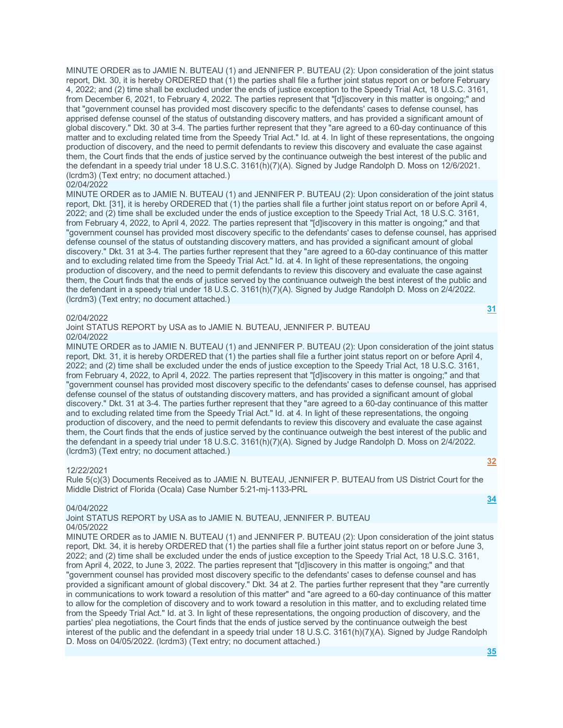MINUTE ORDER as to JAMIE N. BUTEAU (1) and JENNIFER P. BUTEAU (2): Upon consideration of the joint status report, Dkt. 30, it is hereby ORDERED that (1) the parties shall file a further joint status report on or before February 4, 2022; and (2) time shall be excluded under the ends of justice exception to the Speedy Trial Act, 18 U.S.C. 3161, from December 6, 2021, to February 4, 2022. The parties represent that "[d]iscovery in this matter is ongoing;" and that "government counsel has provided most discovery specific to the defendants' cases to defense counsel, has apprised defense counsel of the status of outstanding discovery matters, and has provided a significant amount of global discovery." Dkt. 30 at 3-4. The parties further represent that they "are agreed to a 60-day continuance of this matter and to excluding related time from the Speedy Trial Act." Id. at 4. In light of these representations, the ongoing production of discovery, and the need to permit defendants to review this discovery and evaluate the case against them, the Court finds that the ends of justice served by the continuance outweigh the best interest of the public and the defendant in a speedy trial under 18 U.S.C. 3161(h)(7)(A). Signed by Judge Randolph D. Moss on 12/6/2021. (lcrdm3) (Text entry; no document attached.)

## 02/04/2022

MINUTE ORDER as to JAMIE N. BUTEAU (1) and JENNIFER P. BUTEAU (2): Upon consideration of the joint status report, Dkt. [31], it is hereby ORDERED that (1) the parties shall file a further joint status report on or before April 4, 2022; and (2) time shall be excluded under the ends of justice exception to the Speedy Trial Act, 18 U.S.C. 3161, from February 4, 2022, to April 4, 2022. The parties represent that "[d]iscovery in this matter is ongoing;" and that "government counsel has provided most discovery specific to the defendants' cases to defense counsel, has apprised defense counsel of the status of outstanding discovery matters, and has provided a significant amount of global discovery." Dkt. 31 at 3-4. The parties further represent that they "are agreed to a 60-day continuance of this matter and to excluding related time from the Speedy Trial Act." Id. at 4. In light of these representations, the ongoing production of discovery, and the need to permit defendants to review this discovery and evaluate the case against them, the Court finds that the ends of justice served by the continuance outweigh the best interest of the public and the defendant in a speedy trial under 18 U.S.C. 3161(h)(7)(A). Signed by Judge Randolph D. Moss on 2/4/2022. (lcrdm3) (Text entry; no document attached.) **[31](javascript:void(0))**

#### 02/04/2022

Joint STATUS REPORT by USA as to JAMIE N. BUTEAU, JENNIFER P. BUTEAU 02/04/2022

MINUTE ORDER as to JAMIE N. BUTEAU (1) and JENNIFER P. BUTEAU (2): Upon consideration of the joint status report, Dkt. 31, it is hereby ORDERED that (1) the parties shall file a further joint status report on or before April 4, 2022; and (2) time shall be excluded under the ends of justice exception to the Speedy Trial Act, 18 U.S.C. 3161, from February 4, 2022, to April 4, 2022. The parties represent that "[d]iscovery in this matter is ongoing;" and that "government counsel has provided most discovery specific to the defendants' cases to defense counsel, has apprised defense counsel of the status of outstanding discovery matters, and has provided a significant amount of global discovery." Dkt. 31 at 3-4. The parties further represent that they "are agreed to a 60-day continuance of this matter and to excluding related time from the Speedy Trial Act." Id. at 4. In light of these representations, the ongoing production of discovery, and the need to permit defendants to review this discovery and evaluate the case against them, the Court finds that the ends of justice served by the continuance outweigh the best interest of the public and the defendant in a speedy trial under 18 U.S.C. 3161(h)(7)(A). Signed by Judge Randolph D. Moss on 2/4/2022. (lcrdm3) (Text entry; no document attached.)

## 12/22/2021

Rule 5(c)(3) Documents Received as to JAMIE N. BUTEAU, JENNIFER P. BUTEAU from US District Court for the Middle District of Florida (Ocala) Case Number 5:21-mj-1133-PRL

#### 04/04/2022

Joint STATUS REPORT by USA as to JAMIE N. BUTEAU, JENNIFER P. BUTEAU 04/05/2022

MINUTE ORDER as to JAMIE N. BUTEAU (1) and JENNIFER P. BUTEAU (2): Upon consideration of the joint status report, Dkt. 34, it is hereby ORDERED that (1) the parties shall file a further joint status report on or before June 3, 2022; and (2) time shall be excluded under the ends of justice exception to the Speedy Trial Act, 18 U.S.C. 3161, from April 4, 2022, to June 3, 2022. The parties represent that "[d]iscovery in this matter is ongoing;" and that "government counsel has provided most discovery specific to the defendants' cases to defense counsel and has provided a significant amount of global discovery." Dkt. 34 at 2. The parties further represent that they "are currently in communications to work toward a resolution of this matter" and "are agreed to a 60-day continuance of this matter to allow for the completion of discovery and to work toward a resolution in this matter, and to excluding related time from the Speedy Trial Act." Id. at 3. In light of these representations, the ongoing production of discovery, and the parties' plea negotiations, the Court finds that the ends of justice served by the continuance outweigh the best interest of the public and the defendant in a speedy trial under 18 U.S.C. 3161(h)(7)(A). Signed by Judge Randolph D. Moss on 04/05/2022. (lcrdm3) (Text entry; no document attached.)

**[32](javascript:void(0))**

**[34](javascript:void(0))**